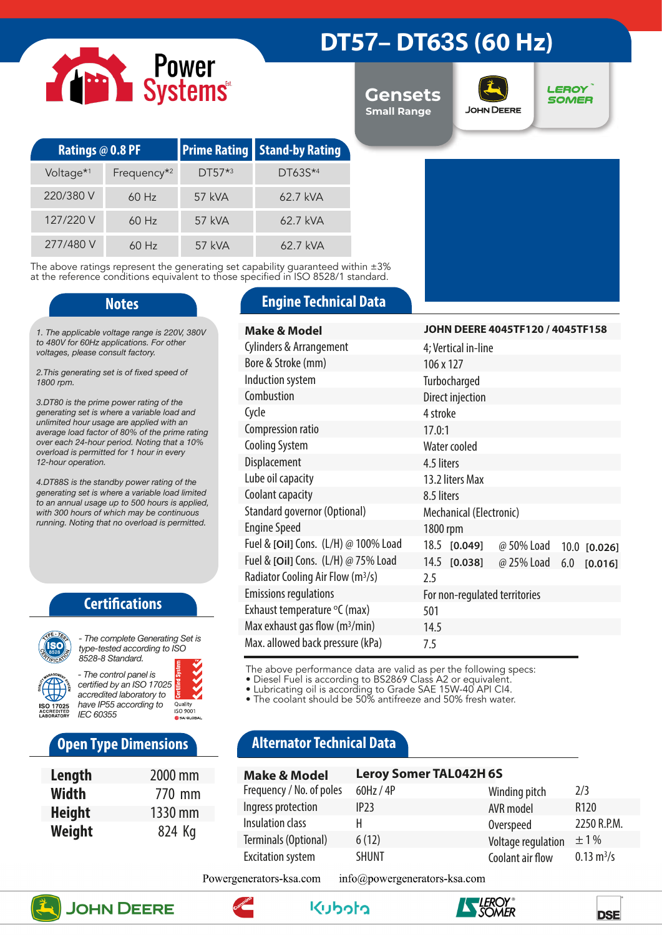# Power<br>Systems

### **DT57– DT63S (60 Hz)**

**Gensets Small Range**



**LEROY SOMER** 

| <b>Ratings @ 0.8 PF</b> |                         |          | <b>Prime Rating Stand-by Rating</b> |  |
|-------------------------|-------------------------|----------|-------------------------------------|--|
| Voltage <sup>*1</sup>   | Frequency <sup>*2</sup> | $DT57*3$ | $DT63S^{*4}$                        |  |
| 220/380 V               | $60$ Hz                 | 57 kVA   | 62.7 kVA                            |  |
| 127/220 V               | $60$ Hz                 | 57 kVA   | $62.7$ kVA                          |  |
| 277/480 V               | $60$ Hz                 | 57 kVA   | 62.7 kVA                            |  |

The above ratings represent the generating set capability guaranteed within ±3% at the reference conditions equivalent to those specified in ISO 8528/1 standard.

*1. The applicable voltage range is 220V, 380V to 480V for 60Hz applications. For other voltages, please consult factory.* 

*2.This generating set is of fixed speed of 1800 rpm.*

*3.DT80 is the prime power rating of the generating set is where a variable load and unlimited hour usage are applied with an average load factor of 80% of the prime rating over each 24-hour period. Noting that a 10% overload is permitted for 1 hour in every 12-hour operation.*

*4.DT88S is the standby power rating of the generating set is where a variable load limited to an annual usage up to 500 hours is applied, with 300 hours of which may be continuous running. Noting that no overload is permitted.*

### **Certifications**



*type-tested according to ISO 8528-8 Standard. - The control panel is* 

*certified by an ISO 17025 accredited laboratory to have IP55 according to*  Quality<br>ISO 9001 *IEC 60355*

### **Open Type Dimensions**

| Length        | 2000 mm |
|---------------|---------|
| Width         | 770 mm  |
| <b>Height</b> | 1330 mm |
| Weight        | 824 Kg  |

### **Notes Engine Technical Data**

| Make & Model                                  | JOHN DEERE 4045TF120 / 4045TF158             |
|-----------------------------------------------|----------------------------------------------|
| <b>Cylinders &amp; Arrangement</b>            | 4; Vertical in-line                          |
| Bore & Stroke (mm)                            | 106 x 127                                    |
| Induction system                              | Turbocharged                                 |
| Combustion                                    | Direct injection                             |
| Cycle                                         | 4 stroke                                     |
| Compression ratio                             | 17.0:1                                       |
| <b>Cooling System</b>                         | Water cooled                                 |
| Displacement                                  | 4.5 liters                                   |
| Lube oil capacity                             | 13.2 liters Max                              |
| Coolant capacity                              | 8.5 liters                                   |
| Standard governor (Optional)                  | Mechanical (Electronic)                      |
| <b>Engine Speed</b>                           | 1800 rpm                                     |
| Fuel & [Oil] Cons. (L/H) @ 100% Load          | 18.5 [0.049]<br>@ 50% Load<br>$10.0$ [0.026] |
| Fuel & [Oil] Cons. (L/H) @ 75% Load           | 14.5 [0.038]<br>@ 25% Load<br>6.0<br>[0.016] |
| Radiator Cooling Air Flow (m <sup>3</sup> /s) | 2.5                                          |
| <b>Emissions regulations</b>                  | For non-regulated territories                |
| Exhaust temperature °C (max)                  | 501                                          |
| Max exhaust gas flow $(m^3/min)$              | 14.5                                         |
| Max. allowed back pressure (kPa)              | 7.5                                          |

The above performance data are valid as per the following specs:

• Diesel Fuel is according to BS2869 Class A2 or equivalent.

• Lubricating oil is according to Grade SAE 15W-40 API CI4.

• The coolant should be 50% antifreeze and 50% fresh water.

### **Alternator Technical Data**

| <b>Make &amp; Model</b>  | <b>Leroy Somer TAL042H6S</b> |                    |                             |
|--------------------------|------------------------------|--------------------|-----------------------------|
| Frequency / No. of poles | 60Hz / 4P                    | Winding pitch      | 2/3                         |
| Ingress protection       | IP23                         | AVR model          | R <sub>120</sub>            |
| Insulation class         | н                            | Overspeed          | 2250 R.P.M.                 |
| Terminals (Optional)     | 6(12)                        | Voltage regulation | $+1\%$                      |
| <b>Excitation system</b> | <b>SHUNT</b>                 | Coolant air flow   | $0.13 \text{ m}^3/\text{s}$ |

Powergenerators-ksa.com info@powergenerators-ksa.com









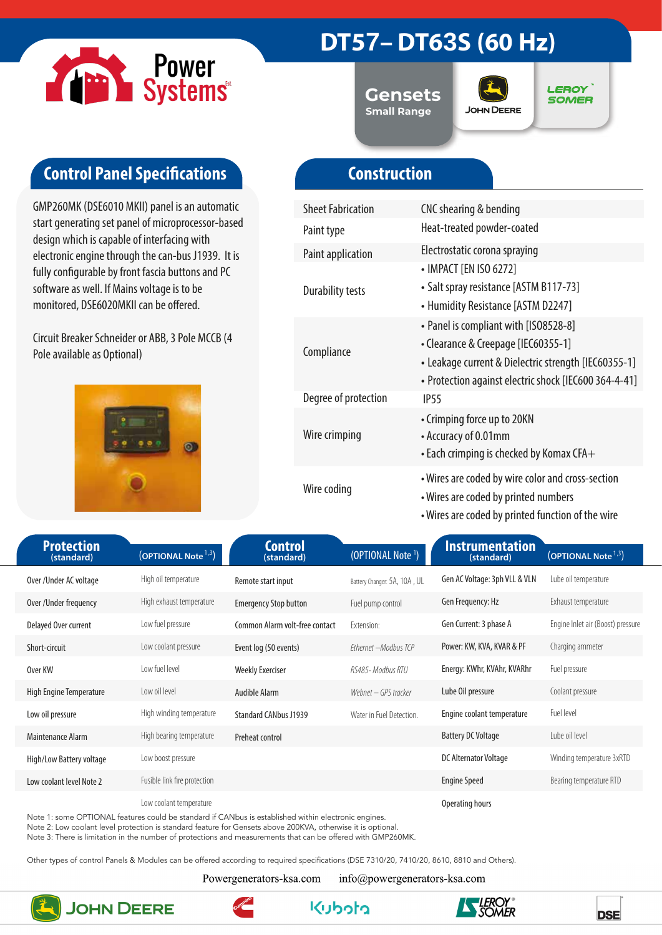

### **DT57– DT63S (60 Hz)**

**Gensets Small Range**



**LEROY SOMER** 

### **Control Panel Specifications**

GMP260MK (DSE6010 MKII) panel is an automatic start generating set panel of microprocessor-based design which is capable of interfacing with electronic engine through the can-bus J1939. It is fully configurable by front fascia buttons and PC software as well. If Mains voltage is to be monitored, DSE6020MKII can be offered.

Circuit Breaker Schneider or ABB, 3 Pole MCCB (4 Pole available as Optional)



### **Construction**

| <b>Sheet Fabrication</b> | CNC shearing & bending                                                                                                                                                                        |
|--------------------------|-----------------------------------------------------------------------------------------------------------------------------------------------------------------------------------------------|
| Paint type               | Heat-treated powder-coated                                                                                                                                                                    |
| <b>Paint application</b> | Electrostatic corona spraying                                                                                                                                                                 |
| <b>Durability tests</b>  | • IMPACT [EN ISO 6272]<br>• Salt spray resistance [ASTM B117-73]<br>• Humidity Resistance [ASTM D2247]                                                                                        |
| Compliance               | • Panel is compliant with [ISO8528-8]<br>• Clearance & Creepage [IEC60355-1]<br>• Leakage current & Dielectric strength [IEC60355-1]<br>· Protection against electric shock [IEC600 364-4-41] |
| Degree of protection     | IP <sub>55</sub>                                                                                                                                                                              |
| Wire crimping            | • Crimping force up to 20KN<br>• Accuracy of 0.01mm<br>$\bullet$ Each crimping is checked by Komax CFA $+$                                                                                    |
| Wire coding              | • Wires are coded by wire color and cross-section<br>• Wires are coded by printed numbers<br>• Wires are coded by printed function of the wire                                                |

| <b>Protection</b><br>(standard) | (OPTIONAL Note <sup>1,3</sup> ) | <b>Control</b><br>(standard)   | (OPTIONAL Note <sup>1</sup> ) | <b>Instrumentation</b><br>(standard) | (OPTIONAL Note <sup>1,3</sup> )   |
|---------------------------------|---------------------------------|--------------------------------|-------------------------------|--------------------------------------|-----------------------------------|
| Over/Under AC voltage           | High oil temperature            | Remote start input             | Battery Changer: 5A, 10A, UL  | Gen AC Voltage: 3ph VLL & VLN        | Lube oil temperature              |
| Over / Under frequency          | High exhaust temperature        | <b>Emergency Stop button</b>   | Fuel pump control             | Gen Frequency: Hz                    | Exhaust temperature               |
| Delayed Over current            | Low fuel pressure               | Common Alarm volt-free contact | Extension:                    | Gen Current: 3 phase A               | Engine Inlet air (Boost) pressure |
| Short-circuit                   | Low coolant pressure            | Event log (50 events)          | Ethernet - Modbus TCP         | Power: KW, KVA, KVAR & PF            | Charging ammeter                  |
| Over KW                         | Low fuel level                  | <b>Weekly Exerciser</b>        | RS485- Modbus RTU             | Energy: KWhr, KVAhr, KVARhr          | Fuel pressure                     |
| High Engine Temperature         | Low oil level                   | Audible Alarm                  | Webnet – GPS tracker          | Lube Oil pressure                    | Coolant pressure                  |
| Low oil pressure                | High winding temperature        | <b>Standard CANbus J1939</b>   | Water in Fuel Detection.      | Engine coolant temperature           | Fuel level                        |
| Maintenance Alarm               | High bearing temperature        | Preheat control                |                               | <b>Battery DC Voltage</b>            | Lube oil level                    |
| High/Low Battery voltage        | Low boost pressure              |                                |                               | DC Alternator Voltage                | Winding temperature 3xRTD         |
| Low coolant level Note 2        | Fusible link fire protection    |                                |                               | <b>Engine Speed</b>                  | Bearing temperature RTD           |
|                                 | Low coolant temperature         |                                |                               | Operating hours                      |                                   |

Note 1: some OPTIONAL features could be standard if CANbus is established within electronic engines.

Note 2: Low coolant level protection is standard feature for Gensets above 200KVA, otherwise it is optional.

Note 3: There is limitation in the number of protections and measurements that can be offered with GMP260MK.

Other types of control Panels & Modules can be offered according to required specifications (DSE 7310/20, 7410/20, 8610, 8810 and Others).

Powergenerators-ksa.com

info@powergenerators-ksa.com

**Kuboto** 



**JOHN DEERE**